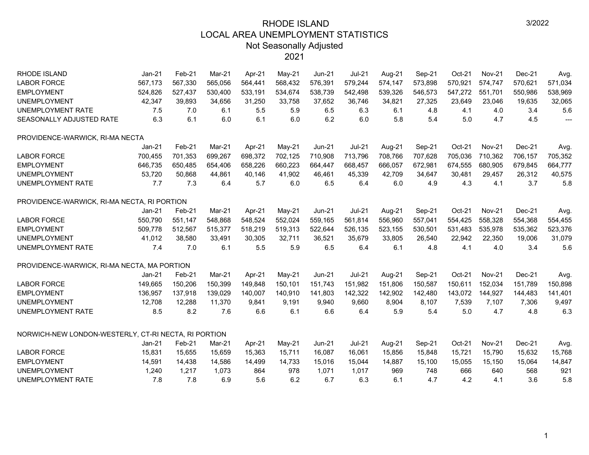| <b>RHODE ISLAND</b>                                  | $Jan-21$ | Feb-21  | Mar-21  | Apr-21  | May-21   | <b>Jun-21</b> | <b>Jul-21</b> | Aug-21  | Sep-21  | Oct-21  | <b>Nov-21</b> | $Dec-21$ | Avg.           |
|------------------------------------------------------|----------|---------|---------|---------|----------|---------------|---------------|---------|---------|---------|---------------|----------|----------------|
| <b>LABOR FORCE</b>                                   | 567,173  | 567,330 | 565,056 | 564,441 | 568,432  | 576,391       | 579,244       | 574,147 | 573,898 | 570,921 | 574,747       | 570,621  | 571,034        |
| <b>EMPLOYMENT</b>                                    | 524,826  | 527,437 | 530,400 | 533,191 | 534,674  | 538,739       | 542,498       | 539,326 | 546,573 | 547,272 | 551,701       | 550,986  | 538,969        |
| <b>UNEMPLOYMENT</b>                                  | 42,347   | 39,893  | 34,656  | 31,250  | 33,758   | 37,652        | 36,746        | 34,821  | 27,325  | 23,649  | 23,046        | 19,635   | 32,065         |
| UNEMPLOYMENT RATE                                    | 7.5      | 7.0     | 6.1     | 5.5     | 5.9      | 6.5           | 6.3           | 6.1     | 4.8     | 4.1     | 4.0           | 3.4      | 5.6            |
| SEASONALLY ADJUSTED RATE                             | 6.3      | 6.1     | 6.0     | 6.1     | 6.0      | 6.2           | 6.0           | 5.8     | 5.4     | 5.0     | 4.7           | 4.5      | $\overline{a}$ |
| PROVIDENCE-WARWICK, RI-MA NECTA                      |          |         |         |         |          |               |               |         |         |         |               |          |                |
|                                                      | $Jan-21$ | Feb-21  | Mar-21  | Apr-21  | May-21   | $Jun-21$      | $Jul-21$      | Aug-21  | Sep-21  | Oct-21  | <b>Nov-21</b> | $Dec-21$ | Avg.           |
| <b>LABOR FORCE</b>                                   | 700,455  | 701,353 | 699,267 | 698,372 | 702,125  | 710,908       | 713,796       | 708,766 | 707,628 | 705,036 | 710,362       | 706,157  | 705,352        |
| <b>EMPLOYMENT</b>                                    | 646,735  | 650,485 | 654,406 | 658,226 | 660,223  | 664,447       | 668,457       | 666,057 | 672,981 | 674,555 | 680,905       | 679,845  | 664,777        |
| <b>UNEMPLOYMENT</b>                                  | 53,720   | 50,868  | 44,861  | 40,146  | 41,902   | 46,461        | 45,339        | 42,709  | 34,647  | 30,481  | 29,457        | 26,312   | 40,575         |
| UNEMPLOYMENT RATE                                    | 7.7      | 7.3     | 6.4     | 5.7     | 6.0      | 6.5           | 6.4           | 6.0     | 4.9     | 4.3     | 4.1           | 3.7      | 5.8            |
| PROVIDENCE-WARWICK, RI-MA NECTA, RI PORTION          |          |         |         |         |          |               |               |         |         |         |               |          |                |
|                                                      | $Jan-21$ | Feb-21  | Mar-21  | Apr-21  | $May-21$ | $Jun-21$      | $Jul-21$      | Aug-21  | Sep-21  | Oct-21  | <b>Nov-21</b> | Dec-21   | Avg.           |
| <b>LABOR FORCE</b>                                   | 550,790  | 551,147 | 548,868 | 548,524 | 552,024  | 559,165       | 561,814       | 556,960 | 557,041 | 554,425 | 558,328       | 554,368  | 554,455        |
| <b>EMPLOYMENT</b>                                    | 509,778  | 512,567 | 515,377 | 518,219 | 519,313  | 522,644       | 526,135       | 523,155 | 530,501 | 531,483 | 535,978       | 535,362  | 523,376        |
| <b>UNEMPLOYMENT</b>                                  | 41,012   | 38,580  | 33,491  | 30,305  | 32,711   | 36,521        | 35,679        | 33,805  | 26,540  | 22,942  | 22,350        | 19,006   | 31,079         |
| UNEMPLOYMENT RATE                                    | 7.4      | 7.0     | 6.1     | 5.5     | 5.9      | 6.5           | 6.4           | 6.1     | 4.8     | 4.1     | 4.0           | 3.4      | 5.6            |
| PROVIDENCE-WARWICK, RI-MA NECTA, MA PORTION          |          |         |         |         |          |               |               |         |         |         |               |          |                |
|                                                      | $Jan-21$ | Feb-21  | Mar-21  | Apr-21  | May-21   | $Jun-21$      | $Jul-21$      | Aug-21  | Sep-21  | Oct-21  | <b>Nov-21</b> | $Dec-21$ | Avg.           |
| <b>LABOR FORCE</b>                                   | 149,665  | 150,206 | 150,399 | 149,848 | 150,101  | 151,743       | 151,982       | 151,806 | 150,587 | 150,611 | 152,034       | 151,789  | 150,898        |
| <b>EMPLOYMENT</b>                                    | 136,957  | 137,918 | 139,029 | 140,007 | 140,910  | 141,803       | 142,322       | 142,902 | 142,480 | 143,072 | 144,927       | 144,483  | 141,401        |
| <b>UNEMPLOYMENT</b>                                  | 12.708   | 12,288  | 11,370  | 9,841   | 9,191    | 9,940         | 9,660         | 8,904   | 8,107   | 7,539   | 7,107         | 7,306    | 9,497          |
| UNEMPLOYMENT RATE                                    | 8.5      | 8.2     | 7.6     | 6.6     | 6.1      | 6.6           | 6.4           | 5.9     | 5.4     | 5.0     | 4.7           | 4.8      | 6.3            |
| NORWICH-NEW LONDON-WESTERLY, CT-RI NECTA, RI PORTION |          |         |         |         |          |               |               |         |         |         |               |          |                |
|                                                      | $Jan-21$ | Feb-21  | Mar-21  | Apr-21  | May-21   | <b>Jun-21</b> | $Jul-21$      | Aug-21  | Sep-21  | Oct-21  | <b>Nov-21</b> | Dec-21   | Avg.           |
| <b>LABOR FORCE</b>                                   | 15,831   | 15,655  | 15.659  | 15,363  | 15,711   | 16,087        | 16,061        | 15,856  | 15,848  | 15,721  | 15,790        | 15,632   | 15,768         |
| <b>EMPLOYMENT</b>                                    | 14,591   | 14,438  | 14,586  | 14,499  | 14,733   | 15,016        | 15,044        | 14,887  | 15,100  | 15,055  | 15,150        | 15,064   | 14,847         |
| <b>UNEMPLOYMENT</b>                                  | 1,240    | 1,217   | 1,073   | 864     | 978      | 1.071         | 1,017         | 969     | 748     | 666     | 640           | 568      | 921            |
| UNEMPLOYMENT RATE                                    | 7.8      | 7.8     | 6.9     | 5.6     | 6.2      | 6.7           | 6.3           | 6.1     | 4.7     | 4.2     | 4.1           | 3.6      | 5.8            |
|                                                      |          |         |         |         |          |               |               |         |         |         |               |          |                |

1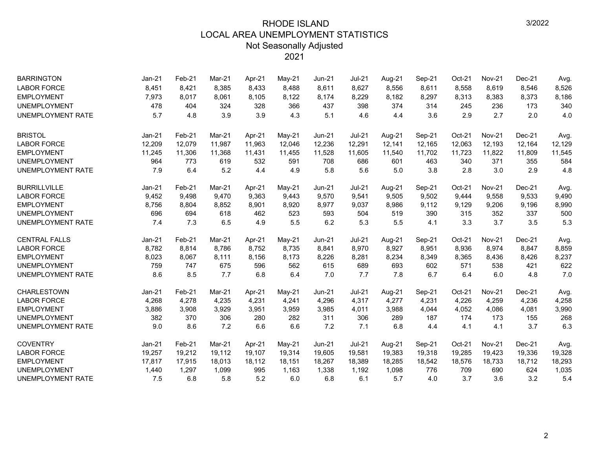| <b>BARRINGTON</b>        | $Jan-21$ | Feb-21 | Mar-21 | Apr-21 | May-21 | Jun-21        | <b>Jul-21</b> | Aug-21 | Sep-21 | Oct-21 | <b>Nov-21</b> | Dec-21   | Avg.   |
|--------------------------|----------|--------|--------|--------|--------|---------------|---------------|--------|--------|--------|---------------|----------|--------|
| <b>LABOR FORCE</b>       | 8,451    | 8,421  | 8,385  | 8,433  | 8,488  | 8,611         | 8,627         | 8,556  | 8,611  | 8,558  | 8,619         | 8,546    | 8,526  |
| <b>EMPLOYMENT</b>        | 7,973    | 8,017  | 8,061  | 8,105  | 8,122  | 8,174         | 8,229         | 8,182  | 8,297  | 8,313  | 8,383         | 8,373    | 8,186  |
| <b>UNEMPLOYMENT</b>      | 478      | 404    | 324    | 328    | 366    | 437           | 398           | 374    | 314    | 245    | 236           | 173      | 340    |
| <b>UNEMPLOYMENT RATE</b> | 5.7      | 4.8    | 3.9    | 3.9    | 4.3    | 5.1           | 4.6           | 4.4    | 3.6    | 2.9    | 2.7           | 2.0      | 4.0    |
| <b>BRISTOL</b>           | Jan-21   | Feb-21 | Mar-21 | Apr-21 | May-21 | <b>Jun-21</b> | $Jul-21$      | Aug-21 | Sep-21 | Oct-21 | <b>Nov-21</b> | Dec-21   | Avg.   |
| <b>LABOR FORCE</b>       | 12,209   | 12,079 | 11,987 | 11,963 | 12,046 | 12,236        | 12,291        | 12,141 | 12,165 | 12,063 | 12,193        | 12,164   | 12,129 |
| <b>EMPLOYMENT</b>        | 11,245   | 11,306 | 11,368 | 11,431 | 11,455 | 11,528        | 11,605        | 11,540 | 11,702 | 11,723 | 11,822        | 11,809   | 11,545 |
| <b>UNEMPLOYMENT</b>      | 964      | 773    | 619    | 532    | 591    | 708           | 686           | 601    | 463    | 340    | 371           | 355      | 584    |
| UNEMPLOYMENT RATE        | 7.9      | 6.4    | 5.2    | 4.4    | 4.9    | 5.8           | 5.6           | 5.0    | 3.8    | 2.8    | 3.0           | 2.9      | 4.8    |
| <b>BURRILLVILLE</b>      | Jan-21   | Feb-21 | Mar-21 | Apr-21 | May-21 | Jun-21        | $Jul-21$      | Aug-21 | Sep-21 | Oct-21 | <b>Nov-21</b> | Dec-21   | Avg.   |
| <b>LABOR FORCE</b>       | 9,452    | 9,498  | 9,470  | 9,363  | 9,443  | 9,570         | 9,541         | 9,505  | 9,502  | 9,444  | 9,558         | 9,533    | 9,490  |
| <b>EMPLOYMENT</b>        | 8,756    | 8,804  | 8,852  | 8,901  | 8,920  | 8,977         | 9,037         | 8,986  | 9,112  | 9,129  | 9,206         | 9,196    | 8,990  |
| <b>UNEMPLOYMENT</b>      | 696      | 694    | 618    | 462    | 523    | 593           | 504           | 519    | 390    | 315    | 352           | 337      | 500    |
| <b>UNEMPLOYMENT RATE</b> | 7.4      | 7.3    | 6.5    | 4.9    | 5.5    | 6.2           | 5.3           | 5.5    | 4.1    | 3.3    | 3.7           | 3.5      | 5.3    |
| <b>CENTRAL FALLS</b>     | Jan-21   | Feb-21 | Mar-21 | Apr-21 | May-21 | Jun-21        | $Jul-21$      | Aug-21 | Sep-21 | Oct-21 | <b>Nov-21</b> | $Dec-21$ | Avg.   |
| <b>LABOR FORCE</b>       | 8,782    | 8,814  | 8.786  | 8.752  | 8,735  | 8,841         | 8,970         | 8,927  | 8,951  | 8,936  | 8,974         | 8,847    | 8,859  |
| <b>EMPLOYMENT</b>        | 8,023    | 8,067  | 8,111  | 8,156  | 8,173  | 8,226         | 8,281         | 8,234  | 8,349  | 8,365  | 8,436         | 8,426    | 8,237  |
| <b>UNEMPLOYMENT</b>      | 759      | 747    | 675    | 596    | 562    | 615           | 689           | 693    | 602    | 571    | 538           | 421      | 622    |
| <b>UNEMPLOYMENT RATE</b> | 8.6      | 8.5    | 7.7    | 6.8    | 6.4    | 7.0           | 7.7           | 7.8    | 6.7    | 6.4    | 6.0           | 4.8      | 7.0    |
| <b>CHARLESTOWN</b>       | Jan-21   | Feb-21 | Mar-21 | Apr-21 | May-21 | Jun-21        | <b>Jul-21</b> | Aug-21 | Sep-21 | Oct-21 | <b>Nov-21</b> | Dec-21   | Avg.   |
| <b>LABOR FORCE</b>       | 4,268    | 4,278  | 4,235  | 4,231  | 4,241  | 4,296         | 4,317         | 4,277  | 4,231  | 4,226  | 4,259         | 4,236    | 4,258  |
| <b>EMPLOYMENT</b>        | 3,886    | 3,908  | 3,929  | 3,951  | 3,959  | 3,985         | 4,011         | 3,988  | 4,044  | 4,052  | 4,086         | 4,081    | 3,990  |
| <b>UNEMPLOYMENT</b>      | 382      | 370    | 306    | 280    | 282    | 311           | 306           | 289    | 187    | 174    | 173           | 155      | 268    |
| <b>UNEMPLOYMENT RATE</b> | 9.0      | 8.6    | 7.2    | 6.6    | 6.6    | 7.2           | 7.1           | 6.8    | 4.4    | 4.1    | 4.1           | 3.7      | 6.3    |
| <b>COVENTRY</b>          | $Jan-21$ | Feb-21 | Mar-21 | Apr-21 | May-21 | Jun-21        | <b>Jul-21</b> | Aug-21 | Sep-21 | Oct-21 | <b>Nov-21</b> | $Dec-21$ | Avg.   |
| <b>LABOR FORCE</b>       | 19,257   | 19,212 | 19,112 | 19,107 | 19,314 | 19,605        | 19,581        | 19,383 | 19,318 | 19,285 | 19,423        | 19,336   | 19,328 |
| <b>EMPLOYMENT</b>        | 17,817   | 17,915 | 18,013 | 18,112 | 18,151 | 18,267        | 18,389        | 18,285 | 18,542 | 18,576 | 18,733        | 18,712   | 18,293 |
| <b>UNEMPLOYMENT</b>      | 1,440    | 1,297  | 1,099  | 995    | 1,163  | 1,338         | 1,192         | 1,098  | 776    | 709    | 690           | 624      | 1,035  |
| UNEMPLOYMENT RATE        | 7.5      | 6.8    | 5.8    | 5.2    | 6.0    | 6.8           | 6.1           | 5.7    | 4.0    | 3.7    | 3.6           | 3.2      | 5.4    |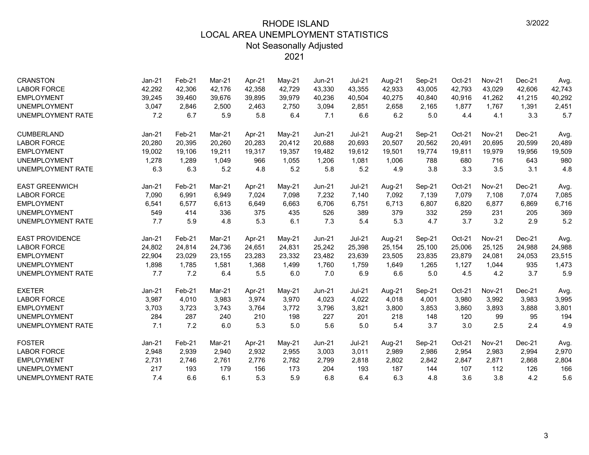| <b>CRANSTON</b>          | Jan-21   | Feb-21 | Mar-21 | Apr-21 | $May-21$ | Jun-21        | <b>Jul-21</b> | Aug-21 | Sep-21 | Oct-21 | <b>Nov-21</b> | $Dec-21$ | Avg.   |
|--------------------------|----------|--------|--------|--------|----------|---------------|---------------|--------|--------|--------|---------------|----------|--------|
| <b>LABOR FORCE</b>       | 42,292   | 42,306 | 42,176 | 42,358 | 42,729   | 43,330        | 43,355        | 42,933 | 43,005 | 42,793 | 43,029        | 42,606   | 42,743 |
| <b>EMPLOYMENT</b>        | 39,245   | 39,460 | 39,676 | 39,895 | 39,979   | 40,236        | 40,504        | 40,275 | 40,840 | 40,916 | 41,262        | 41,215   | 40,292 |
| <b>UNEMPLOYMENT</b>      | 3,047    | 2,846  | 2,500  | 2,463  | 2,750    | 3,094         | 2,851         | 2,658  | 2,165  | 1,877  | 1,767         | 1,391    | 2,451  |
| UNEMPLOYMENT RATE        | 7.2      | 6.7    | 5.9    | 5.8    | 6.4      | 7.1           | 6.6           | 6.2    | 5.0    | 4.4    | 4.1           | 3.3      | 5.7    |
| <b>CUMBERLAND</b>        | Jan-21   | Feb-21 | Mar-21 | Apr-21 | $May-21$ | <b>Jun-21</b> | $Jul-21$      | Aug-21 | Sep-21 | Oct-21 | <b>Nov-21</b> | Dec-21   | Avg.   |
| <b>LABOR FORCE</b>       | 20,280   | 20,395 | 20,260 | 20,283 | 20,412   | 20,688        | 20,693        | 20,507 | 20,562 | 20,491 | 20,695        | 20,599   | 20,489 |
| <b>EMPLOYMENT</b>        | 19,002   | 19,106 | 19,211 | 19,317 | 19,357   | 19,482        | 19,612        | 19,501 | 19,774 | 19,811 | 19,979        | 19,956   | 19,509 |
| <b>UNEMPLOYMENT</b>      | 1,278    | 1,289  | 1,049  | 966    | 1,055    | 1,206         | 1,081         | 1,006  | 788    | 680    | 716           | 643      | 980    |
| UNEMPLOYMENT RATE        | 6.3      | 6.3    | 5.2    | 4.8    | 5.2      | 5.8           | 5.2           | 4.9    | 3.8    | 3.3    | 3.5           | 3.1      | 4.8    |
| <b>EAST GREENWICH</b>    | $Jan-21$ | Feb-21 | Mar-21 | Apr-21 | May-21   | <b>Jun-21</b> | $Jul-21$      | Aug-21 | Sep-21 | Oct-21 | <b>Nov-21</b> | $Dec-21$ | Avg.   |
| <b>LABOR FORCE</b>       | 7,090    | 6,991  | 6,949  | 7,024  | 7,098    | 7,232         | 7,140         | 7,092  | 7,139  | 7,079  | 7,108         | 7,074    | 7,085  |
| <b>EMPLOYMENT</b>        | 6,541    | 6,577  | 6,613  | 6,649  | 6,663    | 6,706         | 6,751         | 6,713  | 6,807  | 6,820  | 6,877         | 6,869    | 6,716  |
| <b>UNEMPLOYMENT</b>      | 549      | 414    | 336    | 375    | 435      | 526           | 389           | 379    | 332    | 259    | 231           | 205      | 369    |
| UNEMPLOYMENT RATE        | 7.7      | 5.9    | 4.8    | 5.3    | 6.1      | 7.3           | 5.4           | 5.3    | 4.7    | 3.7    | 3.2           | 2.9      | 5.2    |
| <b>EAST PROVIDENCE</b>   | $Jan-21$ | Feb-21 | Mar-21 | Apr-21 | May-21   | <b>Jun-21</b> | <b>Jul-21</b> | Aug-21 | Sep-21 | Oct-21 | <b>Nov-21</b> | Dec-21   | Avg.   |
| <b>LABOR FORCE</b>       | 24,802   | 24,814 | 24,736 | 24,651 | 24,831   | 25,242        | 25,398        | 25,154 | 25,100 | 25,006 | 25,125        | 24,988   | 24,988 |
| <b>EMPLOYMENT</b>        | 22,904   | 23,029 | 23,155 | 23,283 | 23,332   | 23,482        | 23,639        | 23,505 | 23,835 | 23,879 | 24,081        | 24,053   | 23,515 |
| <b>UNEMPLOYMENT</b>      | 1,898    | 1,785  | 1,581  | 1,368  | 1,499    | 1,760         | 1,759         | 1,649  | 1,265  | 1,127  | 1,044         | 935      | 1,473  |
| UNEMPLOYMENT RATE        | 7.7      | 7.2    | 6.4    | 5.5    | 6.0      | 7.0           | 6.9           | 6.6    | 5.0    | 4.5    | 4.2           | 3.7      | 5.9    |
| <b>EXETER</b>            | Jan-21   | Feb-21 | Mar-21 | Apr-21 | $May-21$ | <b>Jun-21</b> | <b>Jul-21</b> | Aug-21 | Sep-21 | Oct-21 | <b>Nov-21</b> | Dec-21   | Avg.   |
| <b>LABOR FORCE</b>       | 3,987    | 4,010  | 3,983  | 3,974  | 3,970    | 4,023         | 4,022         | 4,018  | 4,001  | 3,980  | 3,992         | 3,983    | 3,995  |
| <b>EMPLOYMENT</b>        | 3,703    | 3,723  | 3,743  | 3,764  | 3,772    | 3,796         | 3,821         | 3,800  | 3,853  | 3,860  | 3,893         | 3,888    | 3,801  |
| <b>UNEMPLOYMENT</b>      | 284      | 287    | 240    | 210    | 198      | 227           | 201           | 218    | 148    | 120    | 99            | 95       | 194    |
| <b>UNEMPLOYMENT RATE</b> | 7.1      | 7.2    | 6.0    | 5.3    | 5.0      | 5.6           | 5.0           | 5.4    | 3.7    | 3.0    | 2.5           | 2.4      | 4.9    |
| <b>FOSTER</b>            | $Jan-21$ | Feb-21 | Mar-21 | Apr-21 | May-21   | <b>Jun-21</b> | $Jul-21$      | Aug-21 | Sep-21 | Oct-21 | <b>Nov-21</b> | Dec-21   | Avg.   |
| <b>LABOR FORCE</b>       | 2,948    | 2,939  | 2,940  | 2,932  | 2,955    | 3,003         | 3,011         | 2,989  | 2,986  | 2,954  | 2,983         | 2,994    | 2,970  |
| <b>EMPLOYMENT</b>        | 2,731    | 2,746  | 2,761  | 2,776  | 2,782    | 2,799         | 2,818         | 2,802  | 2,842  | 2,847  | 2,871         | 2,868    | 2,804  |
| <b>UNEMPLOYMENT</b>      | 217      | 193    | 179    | 156    | 173      | 204           | 193           | 187    | 144    | 107    | 112           | 126      | 166    |
| <b>UNEMPLOYMENT RATE</b> | 7.4      | 6.6    | 6.1    | 5.3    | 5.9      | 6.8           | 6.4           | 6.3    | 4.8    | 3.6    | 3.8           | 4.2      | 5.6    |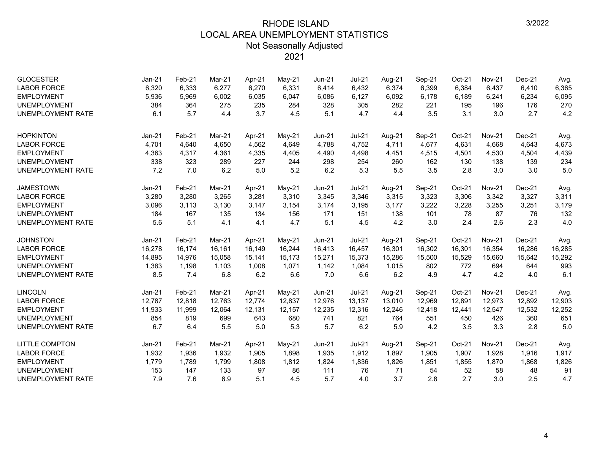| <b>GLOCESTER</b><br><b>LABOR FORCE</b><br><b>EMPLOYMENT</b> | Jan-21<br>6,320<br>5,936 | $Feb-21$<br>6,333<br>5,969 | Mar-21<br>6,277<br>6,002 | Apr-21<br>6,270<br>6,035 | May-21<br>6,331<br>6,047 | Jun-21<br>6,414<br>6,086 | <b>Jul-21</b><br>6,432<br>6,127 | Aug-21<br>6,374<br>6,092 | Sep-21<br>6,399<br>6,178 | Oct-21<br>6,384<br>6,189 | <b>Nov-21</b><br>6,437<br>6,241 | Dec-21<br>6,410<br>6,234 | Avg.<br>6,365<br>6,095 |
|-------------------------------------------------------------|--------------------------|----------------------------|--------------------------|--------------------------|--------------------------|--------------------------|---------------------------------|--------------------------|--------------------------|--------------------------|---------------------------------|--------------------------|------------------------|
| <b>UNEMPLOYMENT</b><br><b>UNEMPLOYMENT RATE</b>             | 384<br>6.1               | 364<br>5.7                 | 275<br>4.4               | 235<br>3.7               | 284<br>4.5               | 328<br>5.1               | 305<br>4.7                      | 282<br>4.4               | 221<br>3.5               | 195<br>3.1               | 196<br>3.0                      | 176<br>2.7               | 270<br>4.2             |
| <b>HOPKINTON</b>                                            | $Jan-21$                 | Feb-21                     | Mar-21                   | Apr-21                   | $May-21$                 | Jun-21                   | <b>Jul-21</b>                   | Aug-21                   | Sep-21                   | Oct-21                   | <b>Nov-21</b>                   | $Dec-21$                 | Avg.                   |
| <b>LABOR FORCE</b>                                          | 4,701                    | 4,640                      | 4.650                    | 4,562                    | 4,649                    | 4,788                    | 4,752                           | 4,711                    | 4,677                    | 4,631                    | 4,668                           | 4,643                    | 4,673                  |
| <b>EMPLOYMENT</b>                                           | 4,363                    | 4,317                      | 4,361                    | 4,335                    | 4,405                    | 4,490                    | 4,498                           | 4,451                    | 4,515                    | 4,501                    | 4,530                           | 4,504                    | 4,439                  |
| <b>UNEMPLOYMENT</b>                                         | 338                      | 323                        | 289                      | 227                      | 244                      | 298                      | 254                             | 260                      | 162                      | 130                      | 138                             | 139                      | 234                    |
| <b>UNEMPLOYMENT RATE</b>                                    | 7.2                      | 7.0                        | 6.2                      | 5.0                      | 5.2                      | 6.2                      | 5.3                             | 5.5                      | 3.5                      | 2.8                      | 3.0                             | 3.0                      | 5.0                    |
| <b>JAMESTOWN</b>                                            | Jan-21                   | Feb-21                     | Mar-21                   | Apr-21                   | May-21                   | $Jun-21$                 | <b>Jul-21</b>                   | Aug-21                   | Sep-21                   | Oct-21                   | <b>Nov-21</b>                   | $Dec-21$                 | Avg.                   |
| <b>LABOR FORCE</b>                                          | 3,280                    | 3,280                      | 3.265                    | 3,281                    | 3,310                    | 3,345                    | 3,346                           | 3,315                    | 3,323                    | 3,306                    | 3,342                           | 3,327                    | 3,311                  |
| <b>EMPLOYMENT</b>                                           | 3,096                    | 3,113                      | 3,130                    | 3,147                    | 3,154                    | 3,174                    | 3,195                           | 3,177                    | 3,222                    | 3,228                    | 3,255                           | 3,251                    | 3,179                  |
| <b>UNEMPLOYMENT</b>                                         | 184                      | 167                        | 135                      | 134                      | 156                      | 171                      | 151                             | 138                      | 101                      | 78                       | 87                              | 76                       | 132                    |
| <b>UNEMPLOYMENT RATE</b>                                    | 5.6                      | 5.1                        | 4.1                      | 4.1                      | 4.7                      | 5.1                      | 4.5                             | 4.2                      | 3.0                      | 2.4                      | 2.6                             | 2.3                      | 4.0                    |
| <b>JOHNSTON</b>                                             | $Jan-21$                 | Feb-21                     | Mar-21                   | Apr-21                   | May-21                   | $Jun-21$                 | $Jul-21$                        | Aug-21                   | Sep-21                   | Oct-21                   | <b>Nov-21</b>                   | $Dec-21$                 | Avg.                   |
| <b>LABOR FORCE</b>                                          | 16,278                   | 16,174                     | 16,161                   | 16,149                   | 16,244                   | 16,413                   | 16,457                          | 16,301                   | 16,302                   | 16,301                   | 16,354                          | 16,286                   | 16,285                 |
| <b>EMPLOYMENT</b>                                           | 14,895                   | 14,976                     | 15,058                   | 15.141                   | 15,173                   | 15,271                   | 15,373                          | 15,286                   | 15,500                   | 15,529                   | 15,660                          | 15,642                   | 15,292                 |
| <b>UNEMPLOYMENT</b>                                         | 1,383                    | 1,198                      | 1,103                    | 1,008                    | 1,071                    | 1,142                    | 1,084                           | 1,015                    | 802                      | 772                      | 694                             | 644                      | 993                    |
| <b>UNEMPLOYMENT RATE</b>                                    | 8.5                      | 7.4                        | 6.8                      | 6.2                      | 6.6                      | 7.0                      | 6.6                             | 6.2                      | 4.9                      | 4.7                      | 4.2                             | 4.0                      | 6.1                    |
| <b>LINCOLN</b>                                              | $Jan-21$                 | Feb-21                     | Mar-21                   | Apr-21                   | May-21                   | <b>Jun-21</b>            | $Jul-21$                        | Aug-21                   | Sep-21                   | Oct-21                   | <b>Nov-21</b>                   | Dec-21                   | Avg.                   |
| <b>LABOR FORCE</b>                                          | 12,787                   | 12,818                     | 12,763                   | 12,774                   | 12,837                   | 12,976                   | 13,137                          | 13,010                   | 12,969                   | 12,891                   | 12,973                          | 12,892                   | 12,903                 |
| <b>EMPLOYMENT</b>                                           | 11,933                   | 11,999                     | 12,064                   | 12,131                   | 12,157                   | 12,235                   | 12,316                          | 12,246                   | 12,418                   | 12,441                   | 12,547                          | 12,532                   | 12,252                 |
| <b>UNEMPLOYMENT</b>                                         | 854                      | 819                        | 699                      | 643                      | 680                      | 741                      | 821                             | 764                      | 551                      | 450                      | 426                             | 360                      | 651                    |
| UNEMPLOYMENT RATE                                           | 6.7                      | 6.4                        | 5.5                      | 5.0                      | 5.3                      | 5.7                      | 6.2                             | 5.9                      | 4.2                      | 3.5                      | 3.3                             | 2.8                      | 5.0                    |
| <b>LITTLE COMPTON</b>                                       | $Jan-21$                 | Feb-21                     | Mar-21                   | Apr-21                   | May-21                   | <b>Jun-21</b>            | $Jul-21$                        | Aug-21                   | Sep-21                   | Oct-21                   | <b>Nov-21</b>                   | $Dec-21$                 | Avg.                   |
| <b>LABOR FORCE</b>                                          | 1,932                    | 1,936                      | 1,932                    | 1,905                    | 1,898                    | 1,935                    | 1,912                           | 1,897                    | 1,905                    | 1,907                    | 1,928                           | 1,916                    | 1,917                  |
| <b>EMPLOYMENT</b>                                           | 1,779                    | 1,789                      | 1,799                    | 1,808                    | 1,812                    | 1,824                    | 1,836                           | 1,826                    | 1,851                    | 1,855                    | 1,870                           | 1,868                    | 1,826                  |
| <b>UNEMPLOYMENT</b>                                         | 153                      | 147                        | 133                      | 97                       | 86                       | 111                      | 76                              | 71                       | 54                       | 52                       | 58                              | 48                       | 91                     |
| UNEMPLOYMENT RATE                                           | 7.9                      | 7.6                        | 6.9                      | 5.1                      | 4.5                      | 5.7                      | 4.0                             | 3.7                      | 2.8                      | 2.7                      | 3.0                             | 2.5                      | 4.7                    |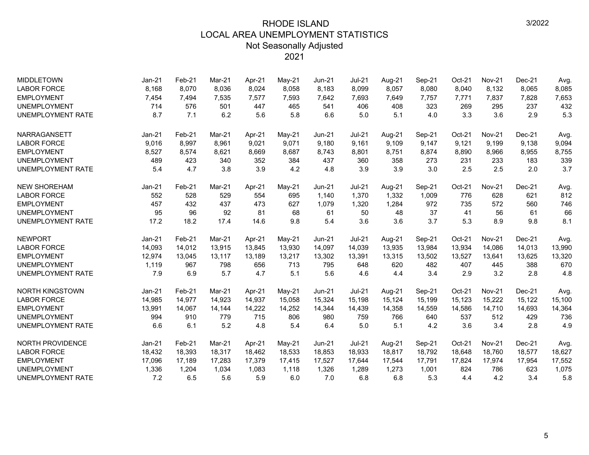| <b>MIDDLETOWN</b>        | $Jan-21$ | Feb-21 | Mar-21 | Apr-21 | $M$ ay-21 | <b>Jun-21</b> | <b>Jul-21</b> | Aug-21 | Sep-21 | Oct-21 | <b>Nov-21</b> | $Dec-21$ | Avg.   |
|--------------------------|----------|--------|--------|--------|-----------|---------------|---------------|--------|--------|--------|---------------|----------|--------|
| <b>LABOR FORCE</b>       | 8,168    | 8,070  | 8,036  | 8,024  | 8,058     | 8,183         | 8,099         | 8,057  | 8,080  | 8,040  | 8,132         | 8,065    | 8,085  |
| <b>EMPLOYMENT</b>        | 7,454    | 7,494  | 7,535  | 7,577  | 7,593     | 7,642         | 7,693         | 7,649  | 7,757  | 7,771  | 7,837         | 7,828    | 7,653  |
| <b>UNEMPLOYMENT</b>      | 714      | 576    | 501    | 447    | 465       | 541           | 406           | 408    | 323    | 269    | 295           | 237      | 432    |
| <b>UNEMPLOYMENT RATE</b> | 8.7      | 7.1    | 6.2    | 5.6    | 5.8       | 6.6           | 5.0           | 5.1    | 4.0    | 3.3    | 3.6           | 2.9      | 5.3    |
| <b>NARRAGANSETT</b>      | $Jan-21$ | Feb-21 | Mar-21 | Apr-21 | $M$ ay-21 | <b>Jun-21</b> | <b>Jul-21</b> | Aug-21 | Sep-21 | Oct-21 | <b>Nov-21</b> | $Dec-21$ | Avg.   |
| <b>LABOR FORCE</b>       | 9,016    | 8,997  | 8.961  | 9,021  | 9,071     | 9.180         | 9,161         | 9.109  | 9,147  | 9,121  | 9,199         | 9,138    | 9,094  |
| <b>EMPLOYMENT</b>        | 8,527    | 8,574  | 8,621  | 8,669  | 8,687     | 8,743         | 8,801         | 8,751  | 8,874  | 8,890  | 8,966         | 8,955    | 8,755  |
| <b>UNEMPLOYMENT</b>      | 489      | 423    | 340    | 352    | 384       | 437           | 360           | 358    | 273    | 231    | 233           | 183      | 339    |
| <b>UNEMPLOYMENT RATE</b> | 5.4      | 4.7    | 3.8    | 3.9    | 4.2       | 4.8           | 3.9           | 3.9    | 3.0    | 2.5    | 2.5           | 2.0      | 3.7    |
| <b>NEW SHOREHAM</b>      | $Jan-21$ | Feb-21 | Mar-21 | Apr-21 | $Mav-21$  | $Jun-21$      | $Jul-21$      | Aug-21 | Sep-21 | Oct-21 | <b>Nov-21</b> | $Dec-21$ | Avg.   |
| <b>LABOR FORCE</b>       | 552      | 528    | 529    | 554    | 695       | 1,140         | 1,370         | 1,332  | 1,009  | 776    | 628           | 621      | 812    |
| <b>EMPLOYMENT</b>        | 457      | 432    | 437    | 473    | 627       | 1,079         | 1,320         | 1,284  | 972    | 735    | 572           | 560      | 746    |
| <b>UNEMPLOYMENT</b>      | 95       | 96     | 92     | 81     | 68        | 61            | 50            | 48     | 37     | 41     | 56            | 61       | 66     |
| <b>UNEMPLOYMENT RATE</b> | 17.2     | 18.2   | 17.4   | 14.6   | 9.8       | 5.4           | 3.6           | 3.6    | 3.7    | 5.3    | 8.9           | 9.8      | 8.1    |
| <b>NEWPORT</b>           | $Jan-21$ | Feb-21 | Mar-21 | Apr-21 | $Mav-21$  | $Jun-21$      | $Jul-21$      | Aug-21 | Sep-21 | Oct-21 | <b>Nov-21</b> | $Dec-21$ | Avg.   |
| <b>LABOR FORCE</b>       | 14,093   | 14,012 | 13,915 | 13,845 | 13,930    | 14,097        | 14,039        | 13,935 | 13,984 | 13,934 | 14,086        | 14,013   | 13,990 |
| <b>EMPLOYMENT</b>        | 12,974   | 13,045 | 13,117 | 13,189 | 13,217    | 13,302        | 13,391        | 13,315 | 13,502 | 13,527 | 13,641        | 13,625   | 13,320 |
| <b>UNEMPLOYMENT</b>      | 1,119    | 967    | 798    | 656    | 713       | 795           | 648           | 620    | 482    | 407    | 445           | 388      | 670    |
| <b>UNEMPLOYMENT RATE</b> | 7.9      | 6.9    | 5.7    | 4.7    | 5.1       | 5.6           | 4.6           | 4.4    | 3.4    | 2.9    | 3.2           | 2.8      | 4.8    |
| <b>NORTH KINGSTOWN</b>   | $Jan-21$ | Feb-21 | Mar-21 | Apr-21 | May-21    | Jun-21        | $Jul-21$      | Aug-21 | Sep-21 | Oct-21 | <b>Nov-21</b> | $Dec-21$ | Avg.   |
| <b>LABOR FORCE</b>       | 14,985   | 14,977 | 14,923 | 14,937 | 15,058    | 15,324        | 15,198        | 15,124 | 15,199 | 15,123 | 15,222        | 15,122   | 15,100 |
| <b>EMPLOYMENT</b>        | 13,991   | 14,067 | 14,144 | 14,222 | 14,252    | 14,344        | 14,439        | 14,358 | 14,559 | 14,586 | 14,710        | 14,693   | 14,364 |
| <b>UNEMPLOYMENT</b>      | 994      | 910    | 779    | 715    | 806       | 980           | 759           | 766    | 640    | 537    | 512           | 429      | 736    |
| <b>UNEMPLOYMENT RATE</b> | 6.6      | 6.1    | 5.2    | 4.8    | 5.4       | 6.4           | 5.0           | 5.1    | 4.2    | 3.6    | 3.4           | 2.8      | 4.9    |
| <b>NORTH PROVIDENCE</b>  | $Jan-21$ | Feb-21 | Mar-21 | Apr-21 | $May-21$  | Jun-21        | $Jul-21$      | Aug-21 | Sep-21 | Oct-21 | <b>Nov-21</b> | $Dec-21$ | Avg.   |
| <b>LABOR FORCE</b>       | 18,432   | 18,393 | 18,317 | 18,462 | 18,533    | 18,853        | 18,933        | 18,817 | 18,792 | 18,648 | 18,760        | 18,577   | 18,627 |
| <b>EMPLOYMENT</b>        | 17,096   | 17,189 | 17.283 | 17,379 | 17,415    | 17,527        | 17.644        | 17,544 | 17,791 | 17,824 | 17,974        | 17,954   | 17,552 |
| <b>UNEMPLOYMENT</b>      | 1,336    | 1,204  | 1,034  | 1,083  | 1,118     | 1,326         | 1,289         | 1,273  | 1,001  | 824    | 786           | 623      | 1,075  |
| <b>UNEMPLOYMENT RATE</b> | 7.2      | 6.5    | 5.6    | 5.9    | 6.0       | 7.0           | 6.8           | 6.8    | 5.3    | 4.4    | 4.2           | 3.4      | 5.8    |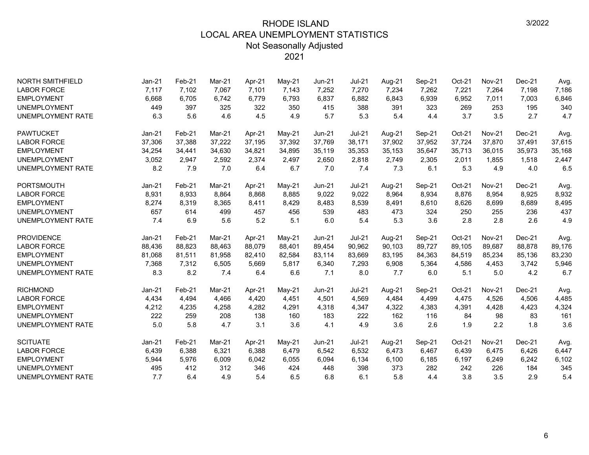| <b>NORTH SMITHFIELD</b>  | $Jan-21$ | Feb-21 | Mar-21 | Apr-21 | May-21   | <b>Jun-21</b> | Jul-21        | Aug-21 | Sep-21 | Oct-21 | <b>Nov-21</b> | $Dec-21$ | Avg.   |
|--------------------------|----------|--------|--------|--------|----------|---------------|---------------|--------|--------|--------|---------------|----------|--------|
| <b>LABOR FORCE</b>       | 7,117    | 7,102  | 7,067  | 7,101  | 7,143    | 7,252         | 7,270         | 7,234  | 7,262  | 7,221  | 7,264         | 7,198    | 7,186  |
| <b>EMPLOYMENT</b>        | 6,668    | 6,705  | 6,742  | 6,779  | 6,793    | 6,837         | 6,882         | 6,843  | 6,939  | 6,952  | 7,011         | 7,003    | 6,846  |
| <b>UNEMPLOYMENT</b>      | 449      | 397    | 325    | 322    | 350      | 415           | 388           | 391    | 323    | 269    | 253           | 195      | 340    |
| <b>UNEMPLOYMENT RATE</b> | 6.3      | 5.6    | 4.6    | 4.5    | 4.9      | 5.7           | 5.3           | 5.4    | 4.4    | 3.7    | 3.5           | 2.7      | 4.7    |
| <b>PAWTUCKET</b>         | $Jan-21$ | Feb-21 | Mar-21 | Apr-21 | May-21   | $Jun-21$      | $Jul-21$      | Aug-21 | Sep-21 | Oct-21 | <b>Nov-21</b> | Dec-21   | Avg.   |
| <b>LABOR FORCE</b>       | 37,306   | 37,388 | 37,222 | 37,195 | 37,392   | 37,769        | 38,171        | 37,902 | 37,952 | 37,724 | 37,870        | 37,491   | 37,615 |
| <b>EMPLOYMENT</b>        | 34,254   | 34,441 | 34,630 | 34,821 | 34,895   | 35,119        | 35,353        | 35,153 | 35,647 | 35,713 | 36,015        | 35,973   | 35,168 |
| <b>UNEMPLOYMENT</b>      | 3,052    | 2,947  | 2,592  | 2,374  | 2,497    | 2,650         | 2,818         | 2,749  | 2,305  | 2,011  | 1,855         | 1,518    | 2,447  |
| <b>UNEMPLOYMENT RATE</b> | 8.2      | 7.9    | 7.0    | 6.4    | 6.7      | 7.0           | 7.4           | 7.3    | 6.1    | 5.3    | 4.9           | 4.0      | 6.5    |
| <b>PORTSMOUTH</b>        | $Jan-21$ | Feb-21 | Mar-21 | Apr-21 | May-21   | $Jun-21$      | <b>Jul-21</b> | Aug-21 | Sep-21 | Oct-21 | <b>Nov-21</b> | $Dec-21$ | Avg.   |
| <b>LABOR FORCE</b>       | 8,931    | 8,933  | 8,864  | 8,868  | 8,885    | 9,022         | 9,022         | 8,964  | 8,934  | 8,876  | 8,954         | 8,925    | 8,932  |
| <b>EMPLOYMENT</b>        | 8,274    | 8,319  | 8,365  | 8,411  | 8,429    | 8,483         | 8,539         | 8,491  | 8,610  | 8,626  | 8,699         | 8,689    | 8,495  |
| <b>UNEMPLOYMENT</b>      | 657      | 614    | 499    | 457    | 456      | 539           | 483           | 473    | 324    | 250    | 255           | 236      | 437    |
| <b>UNEMPLOYMENT RATE</b> | 7.4      | 6.9    | 5.6    | 5.2    | 5.1      | 6.0           | 5.4           | 5.3    | 3.6    | 2.8    | 2.8           | 2.6      | 4.9    |
| <b>PROVIDENCE</b>        | $Jan-21$ | Feb-21 | Mar-21 | Apr-21 | May-21   | $Jun-21$      | <b>Jul-21</b> | Aug-21 | Sep-21 | Oct-21 | <b>Nov-21</b> | Dec-21   | Avg.   |
| <b>LABOR FORCE</b>       | 88,436   | 88,823 | 88.463 | 88,079 | 88,401   | 89,454        | 90.962        | 90,103 | 89,727 | 89,105 | 89,687        | 88,878   | 89,176 |
| <b>EMPLOYMENT</b>        | 81,068   | 81,511 | 81,958 | 82,410 | 82,584   | 83,114        | 83,669        | 83,195 | 84,363 | 84,519 | 85,234        | 85,136   | 83,230 |
| <b>UNEMPLOYMENT</b>      | 7,368    | 7,312  | 6,505  | 5,669  | 5,817    | 6,340         | 7,293         | 6,908  | 5,364  | 4,586  | 4,453         | 3,742    | 5,946  |
| <b>UNEMPLOYMENT RATE</b> | 8.3      | 8.2    | 7.4    | 6.4    | 6.6      | 7.1           | 8.0           | 7.7    | 6.0    | 5.1    | 5.0           | 4.2      | 6.7    |
| <b>RICHMOND</b>          | Jan-21   | Feb-21 | Mar-21 | Apr-21 | May-21   | <b>Jun-21</b> | <b>Jul-21</b> | Aug-21 | Sep-21 | Oct-21 | <b>Nov-21</b> | Dec-21   | Avg.   |
| <b>LABOR FORCE</b>       | 4,434    | 4,494  | 4,466  | 4,420  | 4,451    | 4,501         | 4,569         | 4,484  | 4,499  | 4,475  | 4,526         | 4,506    | 4,485  |
| <b>EMPLOYMENT</b>        | 4,212    | 4,235  | 4,258  | 4,282  | 4,291    | 4,318         | 4,347         | 4,322  | 4,383  | 4,391  | 4,428         | 4,423    | 4,324  |
| <b>UNEMPLOYMENT</b>      | 222      | 259    | 208    | 138    | 160      | 183           | 222           | 162    | 116    | 84     | 98            | 83       | 161    |
| <b>UNEMPLOYMENT RATE</b> | 5.0      | 5.8    | 4.7    | 3.1    | 3.6      | 4.1           | 4.9           | 3.6    | 2.6    | 1.9    | 2.2           | 1.8      | 3.6    |
| <b>SCITUATE</b>          | $Jan-21$ | Feb-21 | Mar-21 | Apr-21 | $May-21$ | <b>Jun-21</b> | <b>Jul-21</b> | Aug-21 | Sep-21 | Oct-21 | <b>Nov-21</b> | Dec-21   | Avg.   |
| <b>LABOR FORCE</b>       | 6,439    | 6,388  | 6,321  | 6,388  | 6,479    | 6,542         | 6,532         | 6,473  | 6,467  | 6,439  | 6,475         | 6,426    | 6,447  |
| <b>EMPLOYMENT</b>        | 5,944    | 5,976  | 6,009  | 6,042  | 6,055    | 6,094         | 6,134         | 6,100  | 6,185  | 6,197  | 6,249         | 6,242    | 6,102  |
| <b>UNEMPLOYMENT</b>      | 495      | 412    | 312    | 346    | 424      | 448           | 398           | 373    | 282    | 242    | 226           | 184      | 345    |
| <b>UNEMPLOYMENT RATE</b> | 7.7      | 6.4    | 4.9    | 5.4    | 6.5      | 6.8           | 6.1           | 5.8    | 4.4    | 3.8    | 3.5           | 2.9      | 5.4    |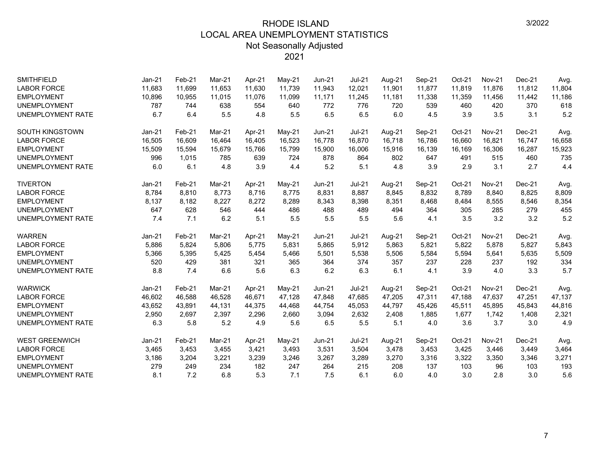| <b>SMITHFIELD</b>        | Jan-21   | Feb-21 | Mar-21 | Apr-21 | May-21   | <b>Jun-21</b> | <b>Jul-21</b> | Aug-21 | Sep-21 | Oct-21 | <b>Nov-21</b> | Dec-21   | Avg.   |
|--------------------------|----------|--------|--------|--------|----------|---------------|---------------|--------|--------|--------|---------------|----------|--------|
| <b>LABOR FORCE</b>       | 11,683   | 11,699 | 11,653 | 11.630 | 11,739   | 11,943        | 12,021        | 11,901 | 11,877 | 11,819 | 11,876        | 11,812   | 11,804 |
| <b>EMPLOYMENT</b>        | 10,896   | 10,955 | 11,015 | 11,076 | 11,099   | 11,171        | 11,245        | 11,181 | 11,338 | 11,359 | 11,456        | 11,442   | 11,186 |
| <b>UNEMPLOYMENT</b>      | 787      | 744    | 638    | 554    | 640      | 772           | 776           | 720    | 539    | 460    | 420           | 370      | 618    |
| <b>UNEMPLOYMENT RATE</b> | 6.7      | 6.4    | 5.5    | 4.8    | 5.5      | 6.5           | 6.5           | 6.0    | 4.5    | 3.9    | 3.5           | 3.1      | 5.2    |
| <b>SOUTH KINGSTOWN</b>   | $Jan-21$ | Feb-21 | Mar-21 | Apr-21 | May-21   | <b>Jun-21</b> | <b>Jul-21</b> | Aug-21 | Sep-21 | Oct-21 | <b>Nov-21</b> | $Dec-21$ | Avg.   |
| <b>LABOR FORCE</b>       | 16,505   | 16,609 | 16,464 | 16.405 | 16,523   | 16,778        | 16,870        | 16,718 | 16,786 | 16,660 | 16,821        | 16,747   | 16,658 |
| <b>EMPLOYMENT</b>        | 15,509   | 15,594 | 15,679 | 15,766 | 15,799   | 15,900        | 16,006        | 15,916 | 16,139 | 16,169 | 16,306        | 16,287   | 15,923 |
| <b>UNEMPLOYMENT</b>      | 996      | 1,015  | 785    | 639    | 724      | 878           | 864           | 802    | 647    | 491    | 515           | 460      | 735    |
| UNEMPLOYMENT RATE        | 6.0      | 6.1    | 4.8    | 3.9    | 4.4      | 5.2           | 5.1           | 4.8    | 3.9    | 2.9    | 3.1           | 2.7      | 4.4    |
| <b>TIVERTON</b>          | $Jan-21$ | Feb-21 | Mar-21 | Apr-21 | $May-21$ | Jun-21        | <b>Jul-21</b> | Aug-21 | Sep-21 | Oct-21 | <b>Nov-21</b> | Dec-21   | Avg.   |
| <b>LABOR FORCE</b>       | 8,784    | 8,810  | 8,773  | 8,716  | 8,775    | 8,831         | 8,887         | 8,845  | 8,832  | 8,789  | 8,840         | 8,825    | 8,809  |
| <b>EMPLOYMENT</b>        | 8,137    | 8,182  | 8,227  | 8,272  | 8,289    | 8,343         | 8,398         | 8,351  | 8,468  | 8,484  | 8,555         | 8,546    | 8,354  |
| <b>UNEMPLOYMENT</b>      | 647      | 628    | 546    | 444    | 486      | 488           | 489           | 494    | 364    | 305    | 285           | 279      | 455    |
| <b>UNEMPLOYMENT RATE</b> | 7.4      | 7.1    | 6.2    | 5.1    | 5.5      | 5.5           | 5.5           | 5.6    | 4.1    | 3.5    | 3.2           | 3.2      | 5.2    |
| <b>WARREN</b>            | Jan-21   | Feb-21 | Mar-21 | Apr-21 | May-21   | <b>Jun-21</b> | <b>Jul-21</b> | Aug-21 | Sep-21 | Oct-21 | <b>Nov-21</b> | Dec-21   | Avg.   |
| <b>LABOR FORCE</b>       | 5,886    | 5,824  | 5.806  | 5,775  | 5,831    | 5,865         | 5,912         | 5.863  | 5,821  | 5,822  | 5,878         | 5,827    | 5,843  |
| <b>EMPLOYMENT</b>        | 5,366    | 5,395  | 5,425  | 5,454  | 5,466    | 5,501         | 5,538         | 5,506  | 5,584  | 5,594  | 5,641         | 5,635    | 5,509  |
| <b>UNEMPLOYMENT</b>      | 520      | 429    | 381    | 321    | 365      | 364           | 374           | 357    | 237    | 228    | 237           | 192      | 334    |
| <b>UNEMPLOYMENT RATE</b> | 8.8      | 7.4    | 6.6    | 5.6    | 6.3      | 6.2           | 6.3           | 6.1    | 4.1    | 3.9    | 4.0           | 3.3      | 5.7    |
| <b>WARWICK</b>           | $Jan-21$ | Feb-21 | Mar-21 | Apr-21 | $May-21$ | Jun-21        | <b>Jul-21</b> | Aug-21 | Sep-21 | Oct-21 | <b>Nov-21</b> | $Dec-21$ | Avg.   |
| <b>LABOR FORCE</b>       | 46,602   | 46,588 | 46,528 | 46,671 | 47,128   | 47,848        | 47,685        | 47,205 | 47,311 | 47,188 | 47,637        | 47,251   | 47,137 |
| <b>EMPLOYMENT</b>        | 43,652   | 43,891 | 44,131 | 44,375 | 44,468   | 44,754        | 45,053        | 44,797 | 45,426 | 45,511 | 45,895        | 45,843   | 44,816 |
| <b>UNEMPLOYMENT</b>      | 2,950    | 2,697  | 2,397  | 2,296  | 2,660    | 3,094         | 2,632         | 2,408  | 1,885  | 1,677  | 1,742         | 1,408    | 2,321  |
| <b>UNEMPLOYMENT RATE</b> | 6.3      | 5.8    | 5.2    | 4.9    | 5.6      | 6.5           | 5.5           | 5.1    | 4.0    | 3.6    | 3.7           | 3.0      | 4.9    |
| <b>WEST GREENWICH</b>    | $Jan-21$ | Feb-21 | Mar-21 | Apr-21 | $May-21$ | $Jun-21$      | <b>Jul-21</b> | Aug-21 | Sep-21 | Oct-21 | <b>Nov-21</b> | $Dec-21$ | Avg.   |
| <b>LABOR FORCE</b>       | 3,465    | 3,453  | 3,455  | 3,421  | 3,493    | 3,531         | 3,504         | 3,478  | 3,453  | 3,425  | 3,446         | 3,449    | 3,464  |
| <b>EMPLOYMENT</b>        | 3,186    | 3,204  | 3,221  | 3,239  | 3,246    | 3,267         | 3,289         | 3,270  | 3,316  | 3,322  | 3,350         | 3,346    | 3,271  |
| <b>UNEMPLOYMENT</b>      | 279      | 249    | 234    | 182    | 247      | 264           | 215           | 208    | 137    | 103    | 96            | 103      | 193    |
| <b>UNEMPLOYMENT RATE</b> | 8.1      | 7.2    | 6.8    | 5.3    | 7.1      | 7.5           | 6.1           | 6.0    | 4.0    | 3.0    | 2.8           | 3.0      | 5.6    |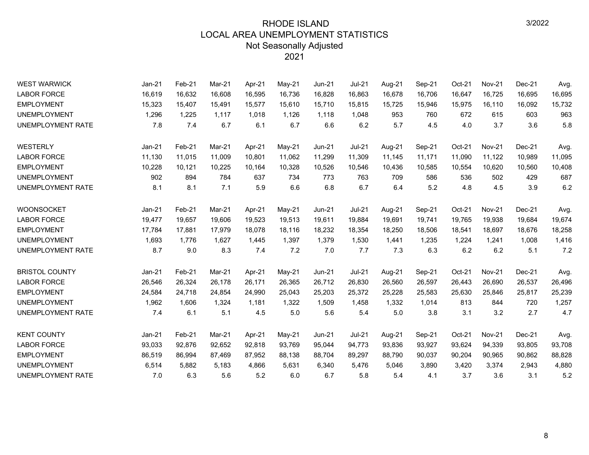| <b>WEST WARWICK</b>      | $Jan-21$ | Feb-21 | Mar-21 | Apr-21 | May-21   | <b>Jun-21</b> | <b>Jul-21</b> | Aug-21 | Sep-21 | Oct-21 | <b>Nov-21</b> | Dec-21 | Avg.   |
|--------------------------|----------|--------|--------|--------|----------|---------------|---------------|--------|--------|--------|---------------|--------|--------|
| <b>LABOR FORCE</b>       | 16,619   | 16,632 | 16,608 | 16,595 | 16,736   | 16,828        | 16,863        | 16,678 | 16,706 | 16,647 | 16,725        | 16,695 | 16,695 |
| <b>EMPLOYMENT</b>        | 15,323   | 15,407 | 15,491 | 15,577 | 15,610   | 15,710        | 15,815        | 15,725 | 15,946 | 15,975 | 16,110        | 16,092 | 15,732 |
| <b>UNEMPLOYMENT</b>      | 1,296    | 1,225  | 1,117  | 1,018  | 1,126    | 1,118         | 1,048         | 953    | 760    | 672    | 615           | 603    | 963    |
| <b>UNEMPLOYMENT RATE</b> | 7.8      | 7.4    | 6.7    | 6.1    | 6.7      | 6.6           | 6.2           | 5.7    | 4.5    | 4.0    | 3.7           | 3.6    | 5.8    |
| <b>WESTERLY</b>          | Jan-21   | Feb-21 | Mar-21 | Apr-21 | May-21   | $Jun-21$      | $Jul-21$      | Aug-21 | Sep-21 | Oct-21 | <b>Nov-21</b> | Dec-21 | Avg.   |
| <b>LABOR FORCE</b>       | 11,130   | 11,015 | 11.009 | 10,801 | 11,062   | 11,299        | 11,309        | 11,145 | 11,171 | 11,090 | 11,122        | 10,989 | 11,095 |
| <b>EMPLOYMENT</b>        | 10,228   | 10,121 | 10,225 | 10,164 | 10,328   | 10,526        | 10,546        | 10,436 | 10,585 | 10,554 | 10,620        | 10,560 | 10,408 |
| <b>UNEMPLOYMENT</b>      | 902      | 894    | 784    | 637    | 734      | 773           | 763           | 709    | 586    | 536    | 502           | 429    | 687    |
| UNEMPLOYMENT RATE        | 8.1      | 8.1    | 7.1    | 5.9    | 6.6      | 6.8           | 6.7           | 6.4    | 5.2    | 4.8    | 4.5           | 3.9    | 6.2    |
| <b>WOONSOCKET</b>        | $Jan-21$ | Feb-21 | Mar-21 | Apr-21 | May-21   | <b>Jun-21</b> | $Jul-21$      | Aug-21 | Sep-21 | Oct-21 | <b>Nov-21</b> | Dec-21 | Avg.   |
| <b>LABOR FORCE</b>       | 19,477   | 19,657 | 19,606 | 19,523 | 19,513   | 19,611        | 19,884        | 19,691 | 19,741 | 19,765 | 19,938        | 19,684 | 19,674 |
| <b>EMPLOYMENT</b>        | 17,784   | 17,881 | 17,979 | 18,078 | 18,116   | 18,232        | 18,354        | 18,250 | 18,506 | 18,541 | 18,697        | 18,676 | 18,258 |
| <b>UNEMPLOYMENT</b>      | 1,693    | 1.776  | 1.627  | 1,445  | 1,397    | 1,379         | 1,530         | 1,441  | 1,235  | 1,224  | 1,241         | 1,008  | 1,416  |
| UNEMPLOYMENT RATE        | 8.7      | 9.0    | 8.3    | 7.4    | 7.2      | 7.0           | 7.7           | 7.3    | 6.3    | 6.2    | 6.2           | 5.1    | 7.2    |
| <b>BRISTOL COUNTY</b>    | $Jan-21$ | Feb-21 | Mar-21 | Apr-21 | May-21   | <b>Jun-21</b> | $Jul-21$      | Aug-21 | Sep-21 | Oct-21 | <b>Nov-21</b> | Dec-21 | Avg.   |
| <b>LABOR FORCE</b>       | 26,546   | 26,324 | 26,178 | 26,171 | 26,365   | 26,712        | 26,830        | 26,560 | 26,597 | 26,443 | 26,690        | 26,537 | 26,496 |
| <b>EMPLOYMENT</b>        | 24,584   | 24,718 | 24,854 | 24,990 | 25,043   | 25,203        | 25,372        | 25,228 | 25,583 | 25,630 | 25,846        | 25,817 | 25,239 |
| <b>UNEMPLOYMENT</b>      | 1,962    | 1,606  | 1,324  | 1,181  | 1,322    | 1,509         | 1,458         | 1,332  | 1,014  | 813    | 844           | 720    | 1,257  |
| <b>UNEMPLOYMENT RATE</b> | 7.4      | 6.1    | 5.1    | 4.5    | 5.0      | 5.6           | 5.4           | 5.0    | 3.8    | 3.1    | 3.2           | 2.7    | 4.7    |
| <b>KENT COUNTY</b>       | Jan-21   | Feb-21 | Mar-21 | Apr-21 | $May-21$ | <b>Jun-21</b> | $Jul-21$      | Aug-21 | Sep-21 | Oct-21 | <b>Nov-21</b> | Dec-21 | Avg.   |
| <b>LABOR FORCE</b>       | 93,033   | 92,876 | 92,652 | 92,818 | 93,769   | 95,044        | 94,773        | 93,836 | 93,927 | 93,624 | 94,339        | 93,805 | 93,708 |
| <b>EMPLOYMENT</b>        | 86,519   | 86,994 | 87.469 | 87,952 | 88,138   | 88,704        | 89,297        | 88,790 | 90,037 | 90,204 | 90,965        | 90,862 | 88,828 |
| <b>UNEMPLOYMENT</b>      | 6,514    | 5,882  | 5,183  | 4,866  | 5,631    | 6,340         | 5,476         | 5,046  | 3,890  | 3,420  | 3,374         | 2,943  | 4,880  |
| UNEMPLOYMENT RATE        | 7.0      | 6.3    | 5.6    | 5.2    | 6.0      | 6.7           | 5.8           | 5.4    | 4.1    | 3.7    | 3.6           | 3.1    | 5.2    |